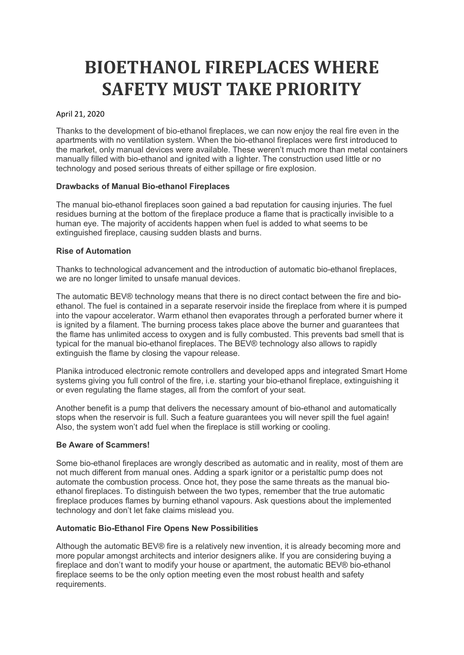# BIOETHANOL FIREPLACES WHERE SAFETY MUST TAKE PRIORITY

### April 21, 2020

Thanks to the development of bio-ethanol fireplaces, we can now enjoy the real fire even in the apartments with no ventilation system. When the bio-ethanol fireplaces were first introduced to the market, only manual devices were available. These weren't much more than metal containers manually filled with bio-ethanol and ignited with a lighter. The construction used little or no technology and posed serious threats of either spillage or fire explosion.

# Drawbacks of Manual Bio-ethanol Fireplaces

The manual bio-ethanol fireplaces soon gained a bad reputation for causing injuries. The fuel residues burning at the bottom of the fireplace produce a flame that is practically invisible to a human eye. The majority of accidents happen when fuel is added to what seems to be extinguished fireplace, causing sudden blasts and burns.

# Rise of Automation

Thanks to technological advancement and the introduction of automatic bio-ethanol fireplaces, we are no longer limited to unsafe manual devices.

The automatic BEV® technology means that there is no direct contact between the fire and bioethanol. The fuel is contained in a separate reservoir inside the fireplace from where it is pumped into the vapour accelerator. Warm ethanol then evaporates through a perforated burner where it is ignited by a filament. The burning process takes place above the burner and guarantees that the flame has unlimited access to oxygen and is fully combusted. This prevents bad smell that is typical for the manual bio-ethanol fireplaces. The BEV® technology also allows to rapidly extinguish the flame by closing the vapour release.

Planika introduced electronic remote controllers and developed apps and integrated Smart Home systems giving you full control of the fire, i.e. starting your bio-ethanol fireplace, extinguishing it or even regulating the flame stages, all from the comfort of your seat.

Another benefit is a pump that delivers the necessary amount of bio-ethanol and automatically stops when the reservoir is full. Such a feature guarantees you will never spill the fuel again! Also, the system won't add fuel when the fireplace is still working or cooling.

### Be Aware of Scammers!

Some bio-ethanol fireplaces are wrongly described as automatic and in reality, most of them are not much different from manual ones. Adding a spark ignitor or a peristaltic pump does not automate the combustion process. Once hot, they pose the same threats as the manual bioethanol fireplaces. To distinguish between the two types, remember that the true automatic fireplace produces flames by burning ethanol vapours. Ask questions about the implemented technology and don't let fake claims mislead you.

### Automatic Bio-Ethanol Fire Opens New Possibilities

Although the automatic BEV® fire is a relatively new invention, it is already becoming more and more popular amongst architects and interior designers alike. If you are considering buying a fireplace and don't want to modify your house or apartment, the automatic BEV® bio-ethanol fireplace seems to be the only option meeting even the most robust health and safety requirements.